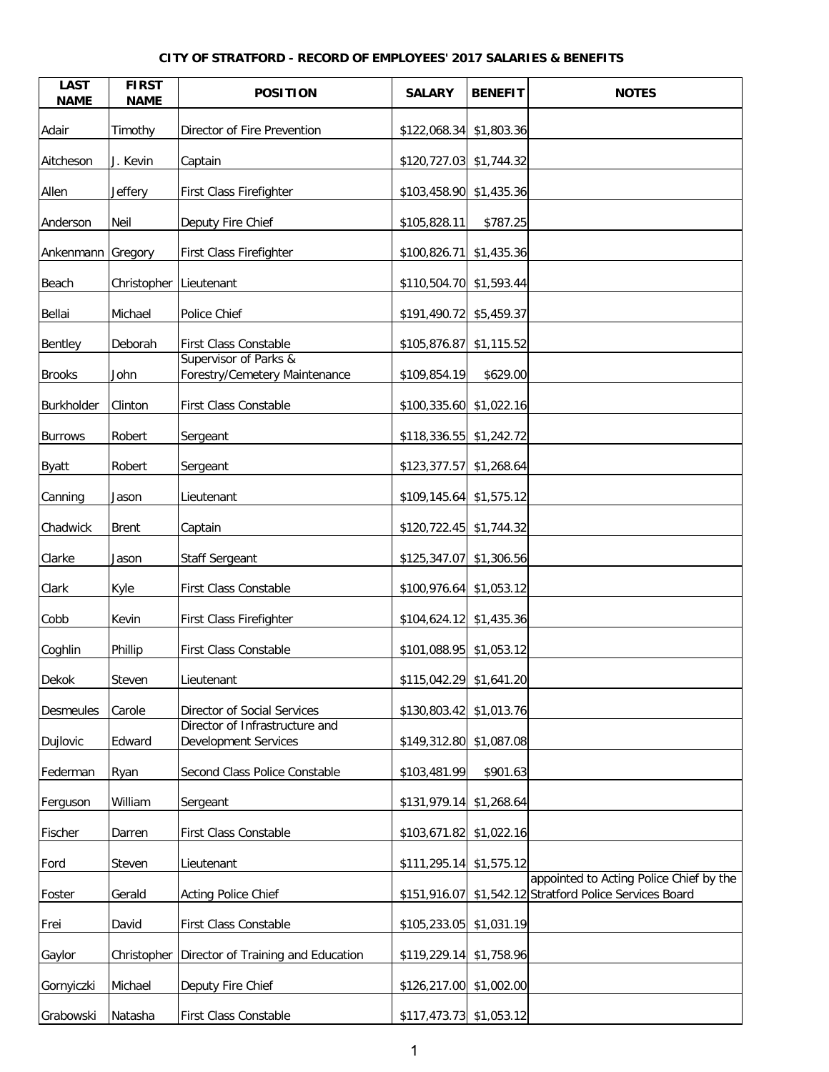## **CITY OF STRATFORD - RECORD OF EMPLOYEES' 2017 SALARIES & BENEFITS**

| <b>LAST</b><br><b>NAME</b> | <b>FIRST</b><br><b>NAME</b> | <b>POSITION</b>                                               | <b>SALARY</b>             | <b>BENEFIT</b> | <b>NOTES</b>                                                                          |
|----------------------------|-----------------------------|---------------------------------------------------------------|---------------------------|----------------|---------------------------------------------------------------------------------------|
| Adair                      | Timothy                     | Director of Fire Prevention                                   | $$122,068.34$ $$1,803.36$ |                |                                                                                       |
| Aitcheson                  | J. Kevin                    | Captain                                                       | \$120,727.03 \$1,744.32   |                |                                                                                       |
| Allen                      | Jeffery                     | First Class Firefighter                                       | \$103,458.90 \$1,435.36   |                |                                                                                       |
| Anderson                   | Neil                        | Deputy Fire Chief                                             | \$105,828.11              | \$787.25       |                                                                                       |
| Ankenmann                  | Gregory                     | First Class Firefighter                                       | \$100,826.71              | \$1,435.36     |                                                                                       |
| Beach                      | Christopher Lieutenant      |                                                               | \$110,504.70 \$1,593.44   |                |                                                                                       |
| Bellai                     | Michael                     | Police Chief                                                  | \$191,490.72 \$5,459.37   |                |                                                                                       |
| Bentley                    | Deborah                     | <b>First Class Constable</b>                                  | \$105,876.87 \$1,115.52   |                |                                                                                       |
| <b>Brooks</b>              | John                        | Supervisor of Parks &<br>Forestry/Cemetery Maintenance        | \$109,854.19              | \$629.00       |                                                                                       |
| Burkholder                 | Clinton                     | First Class Constable                                         | \$100,335.60 \$1,022.16   |                |                                                                                       |
| <b>Burrows</b>             | Robert                      | Sergeant                                                      | \$118,336.55 \$1,242.72   |                |                                                                                       |
| <b>Byatt</b>               | Robert                      | Sergeant                                                      | \$123,377.57              | \$1,268.64     |                                                                                       |
| Canning                    | Jason                       | Lieutenant                                                    | \$109,145.64              | \$1,575.12     |                                                                                       |
| Chadwick                   | <b>Brent</b>                | Captain                                                       | \$120,722.45              | \$1,744.32     |                                                                                       |
| Clarke                     | Jason                       | Staff Sergeant                                                | \$125,347.07 \$1,306.56   |                |                                                                                       |
| Clark                      | Kyle                        | <b>First Class Constable</b>                                  | $$100,976.64$ $$1,053.12$ |                |                                                                                       |
| Cobb                       | Kevin                       | <b>First Class Firefighter</b>                                | $$104,624.12$ $$1,435.36$ |                |                                                                                       |
| Coghlin                    | Phillip                     | <b>First Class Constable</b>                                  | $$101,088.95$ $$1,053.12$ |                |                                                                                       |
| Dekok                      | <b>Steven</b>               | Lieutenant                                                    | \$115,042.29 \$1,641.20   |                |                                                                                       |
| <b>Desmeules</b>           | Carole                      | Director of Social Services                                   | \$130,803.42 \$1,013.76   |                |                                                                                       |
| Dujlovic                   | Edward                      | Director of Infrastructure and<br><b>Development Services</b> | \$149,312.80 \$1,087.08   |                |                                                                                       |
| Federman                   | Ryan                        | Second Class Police Constable                                 | \$103,481.99              | \$901.63       |                                                                                       |
| Ferguson                   | William                     | Sergeant                                                      | \$131,979.14 \$1,268.64   |                |                                                                                       |
| Fischer                    | Darren                      | First Class Constable                                         | \$103,671.82 \$1,022.16   |                |                                                                                       |
| Ford                       | Steven                      | Lieutenant                                                    | $$111,295.14$ $$1,575.12$ |                |                                                                                       |
| Foster                     | Gerald                      | <b>Acting Police Chief</b>                                    | \$151,916.07              |                | appointed to Acting Police Chief by the<br>\$1,542.12 Stratford Police Services Board |
| Frei                       | David                       | First Class Constable                                         | \$105,233.05 \$1,031.19   |                |                                                                                       |
| Gaylor                     | Christopher                 | Director of Training and Education                            | $$119,229.14$ $$1,758.96$ |                |                                                                                       |
| Gornyiczki                 | Michael                     | Deputy Fire Chief                                             | \$126,217.00 \$1,002.00   |                |                                                                                       |
| Grabowski                  | Natasha                     | First Class Constable                                         | \$117,473.73 \$1,053.12   |                |                                                                                       |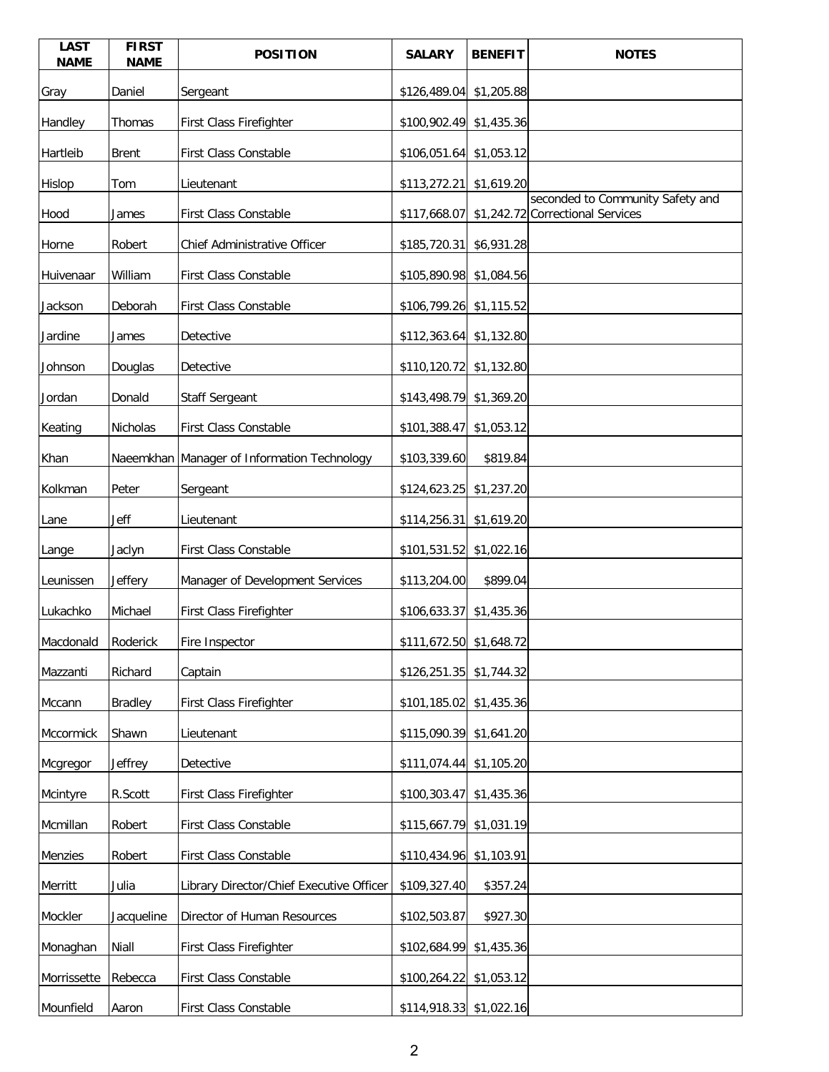| <b>LAST</b><br><b>NAME</b> | <b>FIRST</b><br><b>NAME</b> | <b>POSITION</b>                             | <b>SALARY</b>             | <b>BENEFIT</b> | <b>NOTES</b>                                                         |
|----------------------------|-----------------------------|---------------------------------------------|---------------------------|----------------|----------------------------------------------------------------------|
| Gray                       | Daniel                      | Sergeant                                    | \$126,489.04              | \$1,205.88     |                                                                      |
| Handley                    | Thomas                      | First Class Firefighter                     | \$100,902.49 \$1,435.36   |                |                                                                      |
| Hartleib                   | <b>Brent</b>                | <b>First Class Constable</b>                | \$106,051.64              | \$1,053.12     |                                                                      |
| Hislop                     | Tom                         | Lieutenant                                  | \$113,272.21              | \$1,619.20     |                                                                      |
| Hood                       | James                       | First Class Constable                       | \$117,668.07              |                | seconded to Community Safety and<br>\$1,242.72 Correctional Services |
| Horne                      | Robert                      | Chief Administrative Officer                | \$185,720.31 \$6,931.28   |                |                                                                      |
| Huivenaar                  | William                     | <b>First Class Constable</b>                | \$105,890.98 \$1,084.56   |                |                                                                      |
| Jackson                    | Deborah                     | <b>First Class Constable</b>                | \$106,799.26 \$1,115.52   |                |                                                                      |
| Jardine                    | James                       | Detective                                   | \$112,363.64 \$1,132.80   |                |                                                                      |
| Johnson                    | Douglas                     | Detective                                   | \$110,120.72              | \$1,132.80     |                                                                      |
| Jordan                     | Donald                      | <b>Staff Sergeant</b>                       | $$143,498.79$ \$1,369.20  |                |                                                                      |
| Keating                    | Nicholas                    | <b>First Class Constable</b>                | \$101,388.47              | \$1,053.12     |                                                                      |
| Khan                       |                             | Naeemkhan Manager of Information Technology | \$103,339.60              | \$819.84       |                                                                      |
| Kolkman                    | Peter                       | Sergeant                                    | \$124,623.25 \$1,237.20   |                |                                                                      |
| Lane                       | Jeff                        | Lieutenant                                  | \$114,256.31 \$1,619.20   |                |                                                                      |
| Lange                      | Jaclyn                      | <b>First Class Constable</b>                | \$101,531.52 \$1,022.16   |                |                                                                      |
| Leunissen                  | Jeffery                     | Manager of Development Services             | \$113,204.00              | \$899.04       |                                                                      |
| Lukachko                   | Michael                     | First Class Firefighter                     | \$106,633.37              | \$1,435.36     |                                                                      |
| Macdonald                  | Roderick                    | Fire Inspector                              | \$111,672.50 \$1,648.72   |                |                                                                      |
| Mazzanti                   | Richard                     | Captain                                     | $$126,251.35$ $$1,744.32$ |                |                                                                      |
| Mccann                     | <b>Bradley</b>              | First Class Firefighter                     | \$101,185.02 \$1,435.36   |                |                                                                      |
| Mccormick                  | Shawn                       | Lieutenant                                  | \$115,090.39 \$1,641.20   |                |                                                                      |
| Mcgregor                   | Jeffrey                     | Detective                                   | \$111,074.44 \$1,105.20   |                |                                                                      |
| Mcintyre                   | R.Scott                     | <b>First Class Firefighter</b>              | \$100,303.47              | \$1,435.36     |                                                                      |
| Mcmillan                   | Robert                      | First Class Constable                       | \$115,667.79              | \$1,031.19     |                                                                      |
| Menzies                    | Robert                      | First Class Constable                       | \$110,434.96 \$1,103.91   |                |                                                                      |
| Merritt                    | Julia                       | Library Director/Chief Executive Officer    | \$109,327.40              | \$357.24       |                                                                      |
| Mockler                    | Jacqueline                  | Director of Human Resources                 | \$102,503.87              | \$927.30       |                                                                      |
| Monaghan                   | Niall                       | First Class Firefighter                     | \$102,684.99 \$1,435.36   |                |                                                                      |
| Morrissette                | Rebecca                     | First Class Constable                       | \$100,264.22 \$1,053.12   |                |                                                                      |
| Mounfield                  | Aaron                       | First Class Constable                       | \$114,918.33 \$1,022.16   |                |                                                                      |